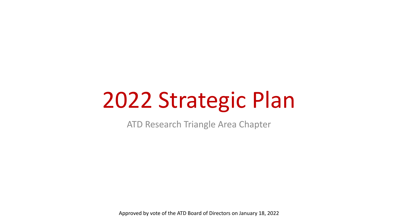# 2022 Strategic Plan

ATD Research Triangle Area Chapter

Approved by vote of the ATD Board of Directors on January 18, 2022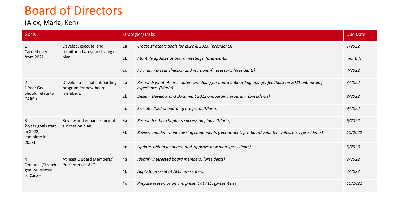### Board of Directors

#### (Alex, Maria, Ken)

| Goals                                                            |                                                                  | Strategies/Tasks |                                                                                                                        | <b>Due Date</b> |
|------------------------------------------------------------------|------------------------------------------------------------------|------------------|------------------------------------------------------------------------------------------------------------------------|-----------------|
| $\mathbf{1}$<br>Carried over<br>from 2021                        | Develop, execute, and<br>monitor a two-year strategic<br>plan.   | 1a               | Create strategic goals for 2022 & 2023. (presidents)                                                                   | 1/2022          |
|                                                                  |                                                                  | 1 <sub>b</sub>   | Monthly updates at board meetings. (presidents)                                                                        | monthly         |
|                                                                  |                                                                  | 1c               | Formal mid-year check-in and revisions if necessary. (presidents)                                                      | 7/2022          |
| $\overline{2}$<br>1-Year Goal,<br>Should relate to<br>$CARE +$   | Develop a formal onboarding<br>program for new board<br>members. | 2a               | Research what other chapters are doing for board onboarding and get feedback on 2021 onboarding<br>experience. (Maria) | 3/2022          |
|                                                                  |                                                                  | 2 <sub>b</sub>   | Design, Develop, and Document 2022 onboarding program. (presidents)                                                    | 8/2022          |
|                                                                  |                                                                  | 2c               | Execute 2022 onboarding program. (Maria)                                                                               | 9/2022          |
| 3<br>2-year goal (start<br>in 2022,<br>complete in<br>2023)      | Review and enhance current<br>succession plan.                   | 3a               | Research other chapter's succession plans. (Maria)                                                                     | 6/2022          |
|                                                                  |                                                                  | 3 <sub>b</sub>   | Review and determine missing components (recruitment, pre-board volunteer roles, etc.) (presidents)                    | 10/2022         |
|                                                                  |                                                                  | 3c               | Update, obtain feedback, and approve new plan. (presidents)                                                            | 6/2023          |
| 4<br><b>Optional (Stretch</b><br>goal or Related<br>to Care $+)$ | At least 2 Board Member(s)<br>Presenters at ALC                  | 4a               | Identify interested board members. (presidents)                                                                        | 2/2022          |
|                                                                  |                                                                  | 4b               | Apply to present at ALC. (presenters)                                                                                  | 3/2022          |
|                                                                  |                                                                  | 4c               | Prepare presentation and present at ALC. (presenters)                                                                  | 10/2022         |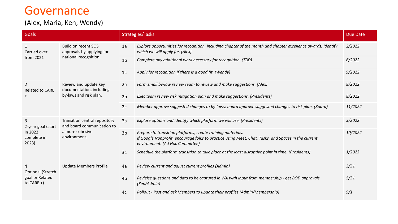### Governance

#### (Alex, Maria, Ken, Wendy)

| Goals                                                                        |                                                                                                | Strategies/Tasks |                                                                                                                                                                                                       |         |
|------------------------------------------------------------------------------|------------------------------------------------------------------------------------------------|------------------|-------------------------------------------------------------------------------------------------------------------------------------------------------------------------------------------------------|---------|
| 1<br>Carried over<br>from 2021                                               | <b>Build on recent SOS</b><br>approvals by applying for<br>national recognition.               | 1a               | Explore opportunities for recognition, including chapter of the month and chapter excellence awards; identify<br>which we will apply for. (Alex)                                                      | 2/2022  |
|                                                                              |                                                                                                | 1 <sub>b</sub>   | Complete any additional work necessary for recognition. (TBD)                                                                                                                                         | 6/2022  |
|                                                                              |                                                                                                | 1c               | Apply for recognition if there is a good fit. (Wendy)                                                                                                                                                 | 9/2022  |
| $\overline{2}$<br>Related to CARE<br>$\pm$                                   | Review and update key<br>documentation, including<br>by-laws and risk plan.                    | 2a               | Form small by-law review team to review and make suggestions. (Alex)                                                                                                                                  | 8/2022  |
|                                                                              |                                                                                                | 2 <sub>b</sub>   | Exec team review risk mitigation plan and make suggestions. (Presidents)                                                                                                                              | 8/2022  |
|                                                                              |                                                                                                | 2c               | Member approve suggested changes to by-laws; board approve suggested changes to risk plan. (Board)                                                                                                    | 11/2022 |
| 3<br>2-year goal (start<br>in 2022,<br>complete in<br>2023)                  | Transition central repository<br>and board communication to<br>a more cohesive<br>environment. | 3a               | Explore options and identify which platform we will use. (Presidents)                                                                                                                                 | 3/2022  |
|                                                                              |                                                                                                | 3 <sub>b</sub>   | Prepare to transition platforms; create training materials.<br>If Google Nonprofit, encourage folks to practice using Meet, Chat, Tasks, and Spaces in the current<br>environment. (Ad Hoc Committee) | 10/2022 |
|                                                                              |                                                                                                | 3 <sub>c</sub>   | Schedule the platform transition to take place at the least disruptive point in time. (Presidents)                                                                                                    | 1/2023  |
| $\overline{4}$<br><b>Optional (Stretch</b><br>goal or Related<br>to $CARE +$ | <b>Update Members Profile</b>                                                                  | 4a               | Review current and adjust current profiles (Admin)                                                                                                                                                    | 3/31    |
|                                                                              |                                                                                                | 4 <sub>b</sub>   | Revieise questions and data to be captured in WA with input from membership - get BOD approvals<br>(Ken/Admin)                                                                                        | 5/31    |
|                                                                              |                                                                                                | 4c               | Rollout - Post and ask Members to update their profiles (Admin/Membership)                                                                                                                            | 9/1     |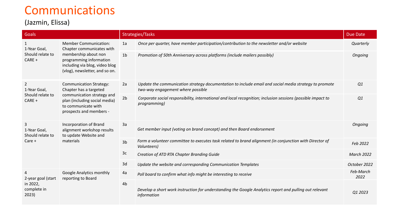### Communications

#### (Jazmin, Elissa)

| Goals                                                        |                                                                                                                                                                                  | Strategies/Tasks<br><b>Due Date</b> |                                                                                                                                            |                   |
|--------------------------------------------------------------|----------------------------------------------------------------------------------------------------------------------------------------------------------------------------------|-------------------------------------|--------------------------------------------------------------------------------------------------------------------------------------------|-------------------|
| 1<br>1-Year Goal,<br>Should relate to<br>CARE +              | <b>Member Communication:</b><br>Chapter communicates with<br>membership about non<br>programming information<br>including via blog, video blog<br>(vlog), newsletter, and so on. | 1a                                  | Once per quarter, have member participation/contribution to the newsletter and/or website                                                  | Quarterly         |
|                                                              |                                                                                                                                                                                  | 1 <sub>b</sub>                      | Promotion of 50th Anniversary across platforms (include mailers possibly)                                                                  | Ongoing           |
| $\overline{2}$<br>1-Year Goal,<br>Should relate to<br>CARE + | <b>Communication Strategy:</b><br>Chapter has a targeted<br>communication strategy and<br>plan (including social media)<br>to communicate with<br>prospects and members -        | 2a                                  | Update the communication strategy documentation to include email and social media strategy to promote<br>two-way engagement where possible | Q1                |
|                                                              |                                                                                                                                                                                  | 2 <sub>b</sub>                      | Corporate social responsibility, international and local recognition; inclusion sessions (possible impact to<br>programming)               | Q1                |
| 3<br>1-Year Goal,<br>Should relate to                        | Incorporation of Brand<br>alignment workshop results<br>to update Website and<br>materials                                                                                       | 3a                                  | Get member input (voting on brand concept) and then Board endorsement                                                                      | Ongoing           |
| Care +                                                       |                                                                                                                                                                                  | 3 <sub>b</sub>                      | Form a volunteer committee to executes task related to brand alignment (in conjunction with Director of<br>Volunteers)                     | Feb 2022          |
|                                                              |                                                                                                                                                                                  | 3c                                  | Creation of ATD RTA Chapter Branding Guide                                                                                                 | <b>March 2022</b> |
|                                                              |                                                                                                                                                                                  | 3d                                  | Update the website and corresponding Communication Templates                                                                               | October 2022      |
| 4<br>2-year goal (start<br>in 2022,<br>complete in<br>2023)  | Google Analytics monthly<br>reporting to Board                                                                                                                                   | 4a                                  | Poll board to confirm what info might be interesting to receive                                                                            | Feb-March<br>2022 |
|                                                              |                                                                                                                                                                                  | 4b                                  | Develop a short work instruction for understanding the Google Analytics report and pulling out relevant<br>information                     | Q1 2023           |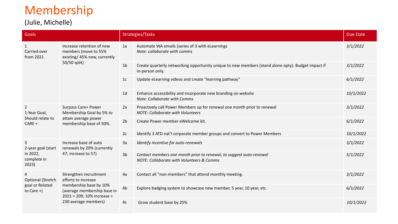# Membership

(Julie, Michelle)

| <b>Goals</b>                                                 |                                                                                                                                                              | Strategies/Tasks |                                                                                                                             | <b>Due Date</b> |
|--------------------------------------------------------------|--------------------------------------------------------------------------------------------------------------------------------------------------------------|------------------|-----------------------------------------------------------------------------------------------------------------------------|-----------------|
| $\mathbf{1}$<br>Carried over<br>from 2021                    | Increase retention of new<br>members (move to 55%<br>existing/45% new, currently<br>50/50 split)                                                             | 1a               | Automate WA emails (series of 3 with eLearnings<br>Note: collaborate with comms                                             | 3/1/2022        |
|                                                              |                                                                                                                                                              | 1 <sub>b</sub>   | Create quarterly networking opportunity unique to new members (stand alone opty). Budget impact if<br>in-person only.       | 3/1/2022        |
|                                                              |                                                                                                                                                              | 1 <sub>c</sub>   | Update eLearning videos and create "learning pathway"                                                                       | 6/1/2022        |
|                                                              |                                                                                                                                                              | 1 <sub>d</sub>   | Enhance accessibility and incorporate new branding on website<br>Note: Collaborate with Comms                               | 10/1/2022       |
| $\overline{2}$<br>1-Year Goal,<br>Should relate to<br>CARE + | Surpass Care+ Power<br>Membership Goal by 5% to<br>attain average power<br>membership base of 50%.                                                           | 2a               | Proactively call Power Members up for renewal one month prior to renewal<br><b>NOTE: Collaborate with Volunteers</b>        | 3/1/2022        |
|                                                              |                                                                                                                                                              | 2 <sub>b</sub>   | Create Power member eWelcome kit.                                                                                           | 6/1/2022        |
|                                                              |                                                                                                                                                              | 2c               | Identify 3 ATD nat'l corporate member groups and convert to Power Members                                                   | 10/1/2022       |
| 3<br>2-year goal (start<br>in 2022,<br>complete in<br>2023)  | Increase base of auto<br>renewals by 20% (currently<br>47; increase to 57)                                                                                   | 3a               | Identify incentive for auto-renewals                                                                                        | 3/1/2022        |
|                                                              |                                                                                                                                                              | 3 <sub>b</sub>   | Contact members one month prior to renewal, to suggest auto-renewal<br><b>NOTE: Collaborate with Volunteers &amp; Comms</b> | 5/1/2022        |
| 4<br>Optional (Stretch<br>goal or Related<br>to Care $+)$    | Strengthen recruitment<br>efforts to increase<br>membership base by 10%<br>(average membership base in<br>2021 = 209; 10% increase =<br>230 average members) | 4a               | Contact all "non-members" that attend monthly meeting.                                                                      | 3/1/2022        |
|                                                              |                                                                                                                                                              | 4 <sub>b</sub>   | Explore badging system to showcase new member, 5 year, 10 year, etc.                                                        | 6/1/2022        |
|                                                              |                                                                                                                                                              | 4c               | Grow student base by 25%                                                                                                    | 10/1/2022       |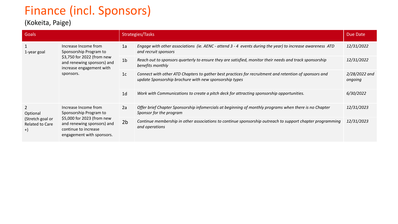# Finance (incl. Sponsors)

### (Kokeita, Paige)

| Goals                                                                            |                                                                                                                                                                 | Strategies/Tasks |                                                                                                                                                                  |                          |
|----------------------------------------------------------------------------------|-----------------------------------------------------------------------------------------------------------------------------------------------------------------|------------------|------------------------------------------------------------------------------------------------------------------------------------------------------------------|--------------------------|
| 1-year goal                                                                      | Increase Income from<br>Sponsorship Program to<br>\$3,750 for 2022 (from new<br>and renewing sponsors) and<br>increase engagement with<br>sponsors.             | 1a               | Engage with other associations (ie. AENC - attend 3 - 4 events during the year) to increase awareness ATD<br>and recruit sponsors                                | 12/31/2022               |
|                                                                                  |                                                                                                                                                                 | 1 <sub>b</sub>   | Reach out to sponsors quarterly to ensure they are satisfied, monitor their needs and track sponsorship<br>benefits monthly                                      | 12/31/2022               |
|                                                                                  |                                                                                                                                                                 | 1c               | Connect with other ATD Chapters to gather best practices for recruitment and retention of sponsors and<br>update Sponsorship brochure with new sponsorship types | 2/28/2022 and<br>ongoing |
|                                                                                  |                                                                                                                                                                 | 1 <sub>d</sub>   | Work with Communications to create a pitch deck for attracting sponsorship opportunities.                                                                        | 6/30/2022                |
| $\overline{2}$<br>Optional<br>(Stretch goal or<br><b>Related to Care</b><br>$+)$ | Increase Income from<br>Sponsorship Program to<br>\$5,000 for 2023 (from new<br>and renewing sponsors) and<br>continue to increase<br>engagement with sponsors. | 2a               | Offer brief Chapter Sponsorship infomercials at beginning of monthly programs when there is no Chapter<br>Sponsor for the program                                | 12/31/2023               |
|                                                                                  |                                                                                                                                                                 | 2 <sub>b</sub>   | Continue membership in other associations to continue sponsorship outreach to support chapter programming<br>and operations                                      | 12/31/2023               |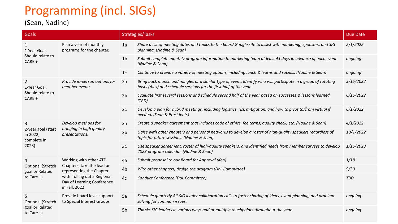# Programming (incl. SIGs)

### (Sean, Nadine)

| Goals                                                            |                                                                                                                                                                | Strategies/Tasks |                                                                                                                                                                                     |            |
|------------------------------------------------------------------|----------------------------------------------------------------------------------------------------------------------------------------------------------------|------------------|-------------------------------------------------------------------------------------------------------------------------------------------------------------------------------------|------------|
| $\mathbf{1}$<br>1-Year Goal,<br>Should relate to<br>$CARE +$     | Plan a year of monthly<br>programs for the chapter.                                                                                                            | 1a               | Share a list of meeting dates and topics to the board Google site to assist with marketing, sponsors, and SIG<br>planning. (Nadine & Sean)                                          | 2/1/2022   |
|                                                                  |                                                                                                                                                                | 1 <sub>b</sub>   | Submit complete monthly program information to marketing team at least 45 days in advance of each event.<br>(Nadine & Sean)                                                         | ongoing    |
|                                                                  |                                                                                                                                                                | 1c               | Continue to provide a variety of meeting options, including lunch & learns and socials. (Nadine & Sean)                                                                             | ongoing    |
| $\overline{2}$<br>1-Year Goal,<br>Should relate to<br>CARE +     | Provide in-person options for<br>member events.                                                                                                                | 2a               | Bring back munch and mingles or a similar type of event; Identify who will participate in a group of rotating<br>hosts (Alex) and schedule sessions for the first half of the year. | 3/15/2022  |
|                                                                  |                                                                                                                                                                | 2 <sub>b</sub>   | Evaluate first several sessions and schedule second half of the year based on successes & lessons learned.<br>(TBD)                                                                 | 6/15/2022  |
|                                                                  |                                                                                                                                                                | 2c               | Develop a plan for hybrid meetings, including logistics, risk mitigation, and how to pivot to/from virtual if<br>needed. (Sean & Presidents)                                        | 6/1/2022   |
| 3                                                                | Develop methods for<br>bringing in high quality<br>presentations.                                                                                              | 3a               | Create a speaker agreement that includes code of ethics, fee terms, quality check, etc. (Nadine & Sean)                                                                             | 4/1/2022   |
| 2-year goal (start<br>in 2022,<br>complete in<br>2023)           |                                                                                                                                                                | 3 <sub>b</sub>   | Liaise with other chapters and personal networks to develop a roster of high-quality speakers regardless of<br>topic for future sessions. (Nadine & Sean)                           | 10/1/2022  |
|                                                                  |                                                                                                                                                                | 3 <sub>c</sub>   | Use speaker agreement, roster of high-quality speakers, and identified needs from member surveys to develop<br>2023 program calendar. (Nadine & Sean)                               | 1/15/2023  |
| 4                                                                | Working with other ATD<br>Chapters, take the lead on<br>representing the Chapter<br>with rolling out a Regional<br>Day of Learning Conference<br>in Fall, 2022 | 4a               | Submit proposal to our Board for Approval (Ken)                                                                                                                                     | 1/18       |
| <b>Optional (Stretch</b><br>goal or Related                      |                                                                                                                                                                | 4 <sub>b</sub>   | With other chapters, design the program (DoL Committee)                                                                                                                             | 9/30       |
| to Care $+)$                                                     |                                                                                                                                                                | 4c               | Conduct Conference (DoL Committee)                                                                                                                                                  | <b>TBD</b> |
| 5<br><b>Optional (Stretch</b><br>goal or Related<br>to Care $+)$ | Provide board level support<br>to Special Interest Groups                                                                                                      | 5a               | Schedule quarterly All-SIG leader collaboration calls to foster sharing of ideas, event planning, and problem<br>solving for common issues.                                         | ongoing    |
|                                                                  |                                                                                                                                                                | 5 <sub>b</sub>   | Thanks SIG leaders in various ways and at multiple touchpoints throughout the year.                                                                                                 | ongoing    |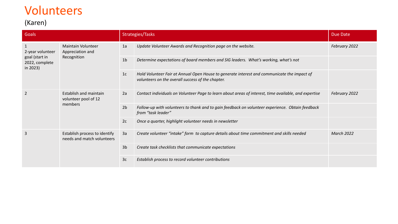### Volunteers

### (Karen)

| Goals                                                            |                                                              | Strategies/Tasks |                                                                                                                                                  | Due Date          |
|------------------------------------------------------------------|--------------------------------------------------------------|------------------|--------------------------------------------------------------------------------------------------------------------------------------------------|-------------------|
| 2-year volunteer<br>goal (start in<br>2022, complete<br>in 2023) | <b>Maintain Volunteer</b><br>Appreciation and<br>Recognition | 1a               | Update Volunteer Awards and Recognition page on the website.                                                                                     | February 2022     |
|                                                                  |                                                              | 1 <sub>b</sub>   | Determine expectations of board members and SIG leaders. What's working, what's not                                                              |                   |
|                                                                  |                                                              | 1c               | Hold Volunteer Fair at Annual Open House to generate interest and communicate the impact of<br>volunteers on the overall success of the chapter. |                   |
| $\overline{2}$                                                   | Establish and maintain<br>volunteer pool of 12<br>members    | 2a               | Contact individuals on Volunteer Page to learn about areas of interest, time available, and expertise                                            | February 2022     |
|                                                                  |                                                              | 2 <sub>b</sub>   | Follow-up with volunteers to thank and to gain feedback on volunteer experience. Obtain feedback<br>from "task leader"                           |                   |
|                                                                  |                                                              | 2c               | Once a quarter, highlight volunteer needs in newsletter                                                                                          |                   |
| 3                                                                | Establish process to identify<br>needs and match volunteers  | 3a               | Create volunteer "intake" form to capture details about time commitment and skills needed                                                        | <b>March 2022</b> |
|                                                                  |                                                              | 3 <sub>b</sub>   | Create task checklists that communicate expectations                                                                                             |                   |
|                                                                  |                                                              | 3c               | Establish process to record volunteer contributions                                                                                              |                   |